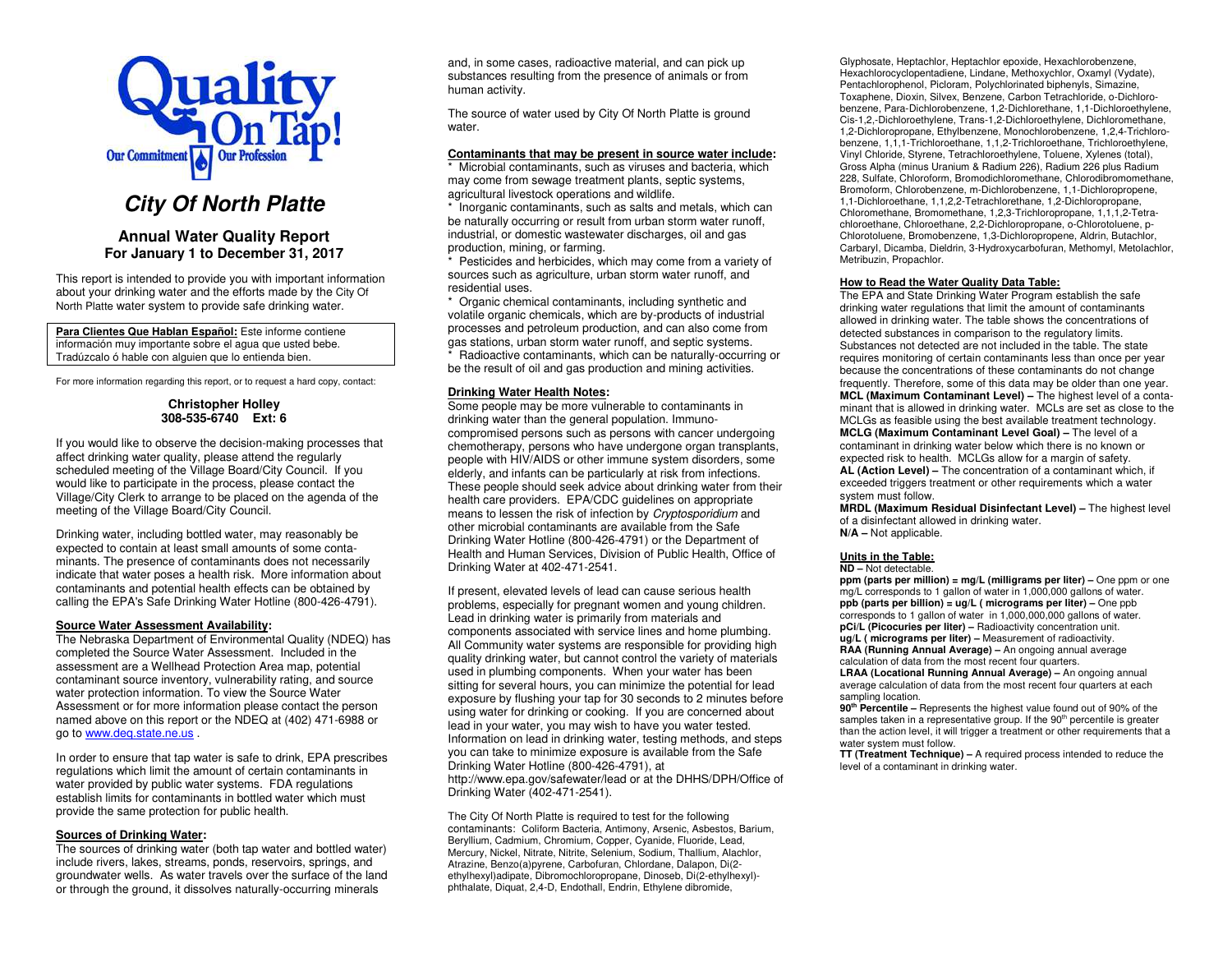

# **City Of North Platte**

## **Annual Water Quality Report For January 1 to December 31, 2017**

This report is intended to provide you with important information about your drinking water and the efforts made by the City Of North Platte water system to provide safe drinking water.

**Para Clientes Que Hablan Español:** Este informe contiene información muy importante sobre el agua que usted bebe. Tradúzcalo ó hable con alguien que lo entienda bien.

For more information regarding this report, or to request a hard copy, contact:

## **Christopher Holley 308-535-6740 Ext: 6**

If you would like to observe the decision-making processes that affect drinking water quality, please attend the regularly scheduled meeting of the Village Board/City Council. If you would like to participate in the process, please contact the Village/City Clerk to arrange to be placed on the agenda of the meeting of the Village Board/City Council.

Drinking water, including bottled water, may reasonably be expected to contain at least small amounts of some contaminants. The presence of contaminants does not necessarily indicate that water poses a health risk. More information about contaminants and potential health effects can be obtained by calling the EPA's Safe Drinking Water Hotline (800-426-4791).

## **Source Water Assessment Availability:**

 The Nebraska Department of Environmental Quality (NDEQ) has completed the Source Water Assessment. Included in the assessment are a Wellhead Protection Area map, potential contaminant source inventory, vulnerability rating, and source water protection information. To view the Source Water Assessment or for more information please contact the person named above on this report or the NDEQ at (402) 471-6988 or go to www.deq.state.ne.us .

In order to ensure that tap water is safe to drink, EPA prescribes regulations which limit the amount of certain contaminants in water provided by public water systems. FDA regulations establish limits for contaminants in bottled water which must provide the same protection for public health.

## **Sources of Drinking Water:**

 The sources of drinking water (both tap water and bottled water) include rivers, lakes, streams, ponds, reservoirs, springs, and groundwater wells. As water travels over the surface of the land or through the ground, it dissolves naturally-occurring minerals

and, in some cases, radioactive material, and can pick up substances resulting from the presence of animals or from human activity.

The source of water used by City Of North Platte is ground water.

## **Contaminants that may be present in source water include:**

\* Microbial contaminants, such as viruses and bacteria, which may come from sewage treatment plants, septic systems, agricultural livestock operations and wildlife.

 \* Inorganic contaminants, such as salts and metals, which can be naturally occurring or result from urban storm water runoff, industrial, or domestic wastewater discharges, oil and gas production, mining, or farming.

 \* Pesticides and herbicides, which may come from a variety of sources such as agriculture, urban storm water runoff, and residential uses.

 \* Organic chemical contaminants, including synthetic and volatile organic chemicals, which are by-products of industrial processes and petroleum production, and can also come from gas stations, urban storm water runoff, and septic systems. \* Radioactive contaminants, which can be naturally-occurring or be the result of oil and gas production and mining activities.

## **Drinking Water Health Notes:**

 Some people may be more vulnerable to contaminants in drinking water than the general population. Immunocompromised persons such as persons with cancer undergoing chemotherapy, persons who have undergone organ transplants, people with HIV/AIDS or other immune system disorders, some elderly, and infants can be particularly at risk from infections. These people should seek advice about drinking water from their health care providers. EPA/CDC guidelines on appropriate means to lessen the risk of infection by Cryptosporidium and other microbial contaminants are available from the Safe Drinking Water Hotline (800-426-4791) or the Department of Health and Human Services, Division of Public Health, Office of Drinking Water at 402-471-2541.

If present, elevated levels of lead can cause serious health problems, especially for pregnant women and young children. Lead in drinking water is primarily from materials and components associated with service lines and home plumbing. All Community water systems are responsible for providing high quality drinking water, but cannot control the variety of materials used in plumbing components. When your water has been sitting for several hours, you can minimize the potential for lead exposure by flushing your tap for 30 seconds to 2 minutes before using water for drinking or cooking. If you are concerned about lead in your water, you may wish to have you water tested. Information on lead in drinking water, testing methods, and steps you can take to minimize exposure is available from the Safe Drinking Water Hotline (800-426-4791), at http://www.epa.gov/safewater/lead or at the DHHS/DPH/Office of Drinking Water (402-471-2541).

The City Of North Platte is required to test for the following contaminants: Coliform Bacteria, Antimony, Arsenic, Asbestos, Barium, Beryllium, Cadmium, Chromium, Copper, Cyanide, Fluoride, Lead, Mercury, Nickel, Nitrate, Nitrite, Selenium, Sodium, Thallium, Alachlor, Atrazine, Benzo(a)pyrene, Carbofuran, Chlordane, Dalapon, Di(2 ethylhexyl)adipate, Dibromochloropropane, Dinoseb, Di(2-ethylhexyl) phthalate, Diquat, 2,4-D, Endothall, Endrin, Ethylene dibromide,

Glyphosate, Heptachlor, Heptachlor epoxide, Hexachlorobenzene, Hexachlorocyclopentadiene, Lindane, Methoxychlor, Oxamyl (Vydate), Pentachlorophenol, Picloram, Polychlorinated biphenyls, Simazine, Toxaphene, Dioxin, Silvex, Benzene, Carbon Tetrachloride, o-Dichlorobenzene, Para-Dichlorobenzene, 1,2-Dichlorethane, 1,1-Dichloroethylene, Cis-1,2,-Dichloroethylene, Trans-1,2-Dichloroethylene, Dichloromethane, 1,2-Dichloropropane, Ethylbenzene, Monochlorobenzene, 1,2,4-Trichlorobenzene, 1,1,1-Trichloroethane, 1,1,2-Trichloroethane, Trichloroethylene, Vinyl Chloride, Styrene, Tetrachloroethylene, Toluene, Xylenes (total), Gross Alpha (minus Uranium & Radium 226), Radium 226 plus Radium 228, Sulfate, Chloroform, Bromodichloromethane, Chlorodibromomethane, Bromoform, Chlorobenzene, m-Dichlorobenzene, 1,1-Dichloropropene, 1,1-Dichloroethane, 1,1,2,2-Tetrachlorethane, 1,2-Dichloropropane, Chloromethane, Bromomethane, 1,2,3-Trichloropropane, 1,1,1,2-Tetrachloroethane, Chloroethane, 2,2-Dichloropropane, o-Chlorotoluene, p-Chlorotoluene, Bromobenzene, 1,3-Dichloropropene, Aldrin, Butachlor, Carbaryl, Dicamba, Dieldrin, 3-Hydroxycarbofuran, Methomyl, Metolachlor, Metribuzin, Propachlor.

#### **How to Read the Water Quality Data Table:**

 The EPA and State Drinking Water Program establish the safe drinking water regulations that limit the amount of contaminants allowed in drinking water. The table shows the concentrations of detected substances in comparison to the regulatory limits. Substances not detected are not included in the table. The state requires monitoring of certain contaminants less than once per year because the concentrations of these contaminants do not change frequently. Therefore, some of this data may be older than one year. **MCL (Maximum Contaminant Level) –** The highest level of a contaminant that is allowed in drinking water. MCLs are set as close to the MCLGs as feasible using the best available treatment technology. **MCLG (Maximum Contaminant Level Goal) –** The level of a contaminant in drinking water below which there is no known or expected risk to health. MCLGs allow for a margin of safety. **AL (Action Level) –** The concentration of a contaminant which, if exceeded triggers treatment or other requirements which a water system must follow.

 **MRDL (Maximum Residual Disinfectant Level) –** The highest level of a disinfectant allowed in drinking water. **N/A –** Not applicable.

#### **Units in the Table: ND –** Not detectable.

 **ppm (parts per million) = mg/L (milligrams per liter) –** One ppm or one mg/L corresponds to 1 gallon of water in 1,000,000 gallons of water. **ppb (parts per billion)** = **ug/L ( micrograms per liter)** – One ppb corresponds to 1 gallon of water in 1,000,000,000 gallons of water. **pCi/L (Picocuries per liter)** – Radioactivity concentration unit.

**ug/L ( micrograms per liter) –** Measurement of radioactivity. **RAA (Running Annual Average) –** An ongoing annual average calculation of data from the most recent four quarters.

 **LRAA (Locational Running Annual Average) –** An ongoing annual average calculation of data from the most recent four quarters at each sampling location.

 **90th Percentile –** Represents the highest value found out of 90% of the samples taken in a representative group. If the 90<sup>th</sup> percentile is greater than the action level, it will trigger a treatment or other requirements that a water system must follow.

 **TT (Treatment Technique) –** A required process intended to reduce the level of a contaminant in drinking water.